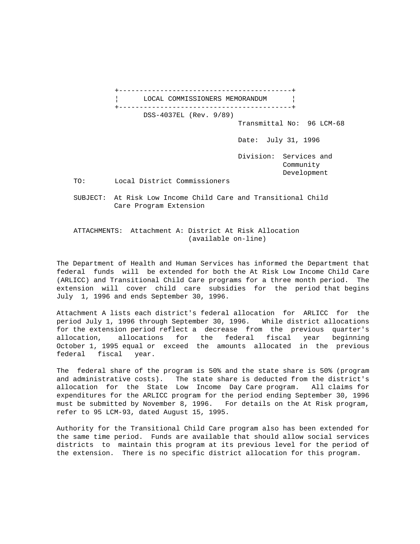+------------------------------------------+ LOCAL COMMISSIONERS MEMORANDUM +------------------------------------------+ DSS-4037EL (Rev. 9/89) Transmittal No: 96 LCM-68 Date: July 31, 1996 Division: Services and Community Development TO: Local District Commissioners SUBJECT: At Risk Low Income Child Care and Transitional Child Care Program Extension

 ATTACHMENTS: Attachment A: District At Risk Allocation (available on-line)

The Department of Health and Human Services has informed the Department that federal funds will be extended for both the At Risk Low Income Child Care (ARLICC) and Transitional Child Care programs for a three month period. The extension will cover child care subsidies for the period that begins July 1, 1996 and ends September 30, 1996.

Attachment A lists each district's federal allocation for ARLICC for the period July 1, 1996 through September 30, 1996. While district allocations for the extension period reflect a decrease from the previous quarter's allocation, allocations for the federal fiscal year beginning October 1, 1995 equal or exceed the amounts allocated in the previous federal fiscal year.

The federal share of the program is 50% and the state share is 50% (program and administrative costs). The state share is deducted from the district's allocation for the State Low Income Day Care program. All claims for expenditures for the ARLICC program for the period ending September 30, 1996 must be submitted by November 8, 1996. For details on the At Risk program, refer to 95 LCM-93, dated August 15, 1995.

Authority for the Transitional Child Care program also has been extended for the same time period. Funds are available that should allow social services districts to maintain this program at its previous level for the period of the extension. There is no specific district allocation for this program.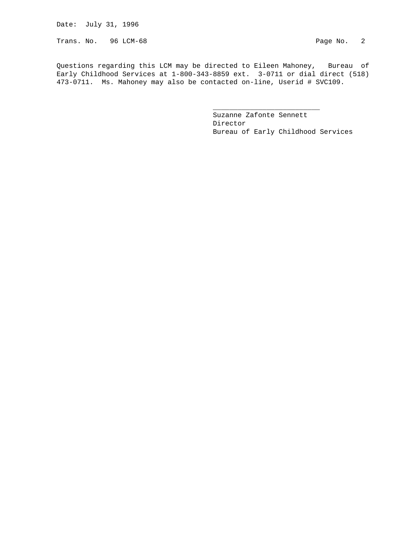Date: July 31, 1996

Trans. No. 96 LCM-68 Page No. 2

Questions regarding this LCM may be directed to Eileen Mahoney, Bureau of Early Childhood Services at 1-800-343-8859 ext. 3-0711 or dial direct (518) 473-0711. Ms. Mahoney may also be contacted on-line, Userid # SVC109.

 $\frac{1}{\sqrt{2}}$  , and the set of the set of the set of the set of the set of the set of the set of the set of the set of the set of the set of the set of the set of the set of the set of the set of the set of the set of the

 Suzanne Zafonte Sennett Director Bureau of Early Childhood Services